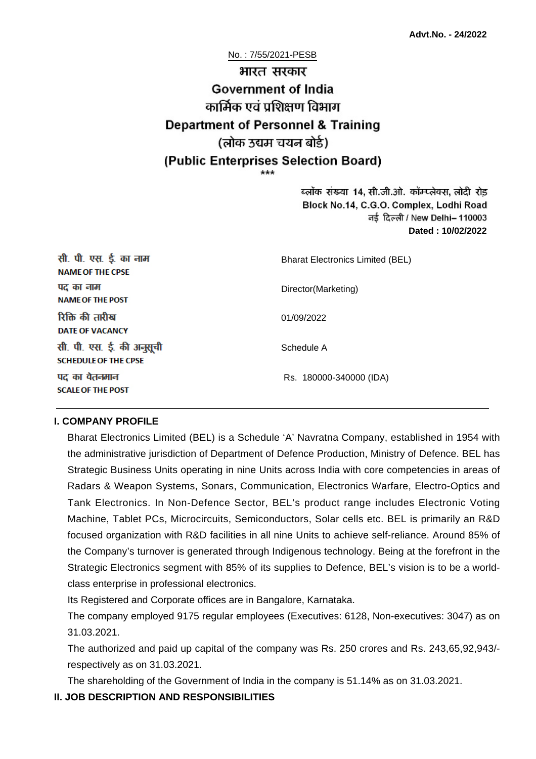No. : 7/55/2021-PESB

# भारत सरकार **Government of India** कार्मिक एवं पशिक्षण विभाग **Department of Personnel & Training** (लोक उद्यम चयन बोर्ड) (Public Enterprises Selection Board)

ब्लॉक संख्या 14, सी.जी.ओ. कॉम्प्लेक्स, लोदी रोड Block No.14, C.G.O. Complex, Lodhi Road ਰई दिल्ली / New Delhi– 110003 **Dated : 10/02/2022**

| सी. पी. एस. ई. का नाम<br><b>NAME OF THE CPSE</b>         | <b>Bharat Electronics Limited (BEL)</b> |
|----------------------------------------------------------|-----------------------------------------|
| पद का नाम<br><b>NAME OF THE POST</b>                     | Director(Marketing)                     |
| रिक्ति की तारीख<br><b>DATE OF VACANCY</b>                | 01/09/2022                              |
| सी. पी. एस. ई. की अनुसूची<br><b>SCHEDULE OF THE CPSE</b> | Schedule A                              |
| पद का वेतनमान<br><b>SCALE OF THE POST</b>                | Rs. 180000-340000 (IDA)                 |

#### **I. COMPANY PROFILE**

Bharat Electronics Limited (BEL) is a Schedule 'A' Navratna Company, established in 1954 with the administrative jurisdiction of Department of Defence Production, Ministry of Defence. BEL has Strategic Business Units operating in nine Units across India with core competencies in areas of Radars & Weapon Systems, Sonars, Communication, Electronics Warfare, Electro-Optics and Tank Electronics. In Non-Defence Sector, BEL's product range includes Electronic Voting Machine, Tablet PCs, Microcircuits, Semiconductors, Solar cells etc. BEL is primarily an R&D focused organization with R&D facilities in all nine Units to achieve self-reliance. Around 85% of the Company's turnover is generated through Indigenous technology. Being at the forefront in the Strategic Electronics segment with 85% of its supplies to Defence, BEL's vision is to be a worldclass enterprise in professional electronics.

Its Registered and Corporate offices are in Bangalore, Karnataka.

The company employed 9175 regular employees (Executives: 6128, Non-executives: 3047) as on 31.03.2021.

The authorized and paid up capital of the company was Rs. 250 crores and Rs. 243,65,92,943/ respectively as on 31.03.2021.

The shareholding of the Government of India in the company is 51.14% as on 31.03.2021.

#### **II. JOB DESCRIPTION AND RESPONSIBILITIES**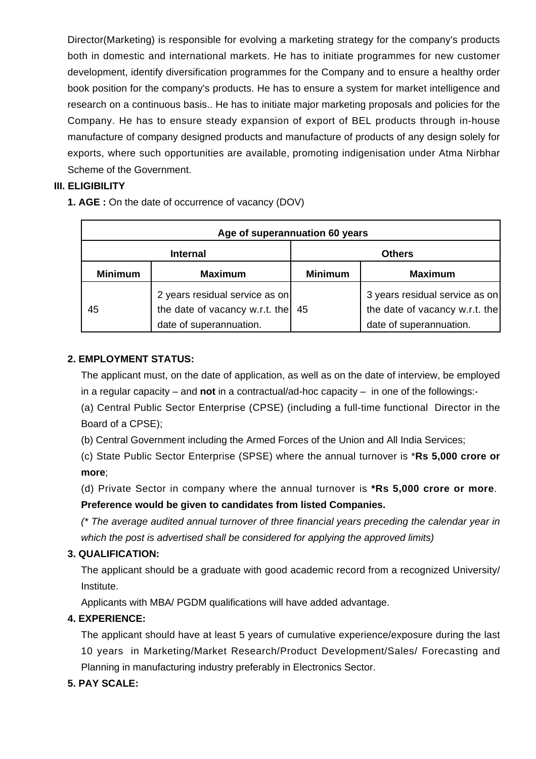Director(Marketing) is responsible for evolving a marketing strategy for the company's products both in domestic and international markets. He has to initiate programmes for new customer development, identify diversification programmes for the Company and to ensure a healthy order book position for the company's products. He has to ensure a system for market intelligence and research on a continuous basis.. He has to initiate major marketing proposals and policies for the Company. He has to ensure steady expansion of export of BEL products through in-house manufacture of company designed products and manufacture of products of any design solely for exports, where such opportunities are available, promoting indigenisation under Atma Nirbhar Scheme of the Government.

## **III. ELIGIBILITY**

**1. AGE :** On the date of occurrence of vacancy (DOV)

| Age of superannuation 60 years |                                                                                             |                |                                                                                             |  |
|--------------------------------|---------------------------------------------------------------------------------------------|----------------|---------------------------------------------------------------------------------------------|--|
| <b>Internal</b>                |                                                                                             | <b>Others</b>  |                                                                                             |  |
| <b>Minimum</b>                 | <b>Maximum</b>                                                                              | <b>Minimum</b> | <b>Maximum</b>                                                                              |  |
| 45                             | 2 years residual service as on<br>the date of vacancy w.r.t. the<br>date of superannuation. | 45             | 3 years residual service as on<br>the date of vacancy w.r.t. the<br>date of superannuation. |  |

## **2. EMPLOYMENT STATUS:**

The applicant must, on the date of application, as well as on the date of interview, be employed in a regular capacity – and **not** in a contractual/ad-hoc capacity – in one of the followings:-

(a) Central Public Sector Enterprise (CPSE) (including a full-time functional Director in the Board of a CPSE);

(b) Central Government including the Armed Forces of the Union and All India Services;

(c) State Public Sector Enterprise (SPSE) where the annual turnover is \***Rs 5,000 crore or more**;

(d) Private Sector in company where the annual turnover is **\*Rs 5,000 crore or more**. **Preference would be given to candidates from listed Companies.**

(\* The average audited annual turnover of three financial years preceding the calendar year in which the post is advertised shall be considered for applying the approved limits)

# **3. QUALIFICATION:**

The applicant should be a graduate with good academic record from a recognized University/ Institute.

Applicants with MBA/ PGDM qualifications will have added advantage.

## **4. EXPERIENCE:**

The applicant should have at least 5 years of cumulative experience/exposure during the last 10 years in Marketing/Market Research/Product Development/Sales/ Forecasting and Planning in manufacturing industry preferably in Electronics Sector.

# **5. PAY SCALE:**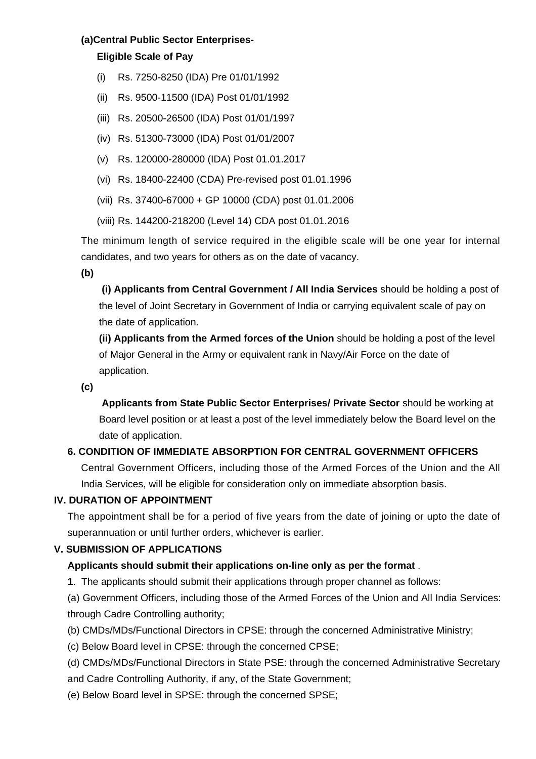### **(a)Central Public Sector Enterprises-**

## **Eligible Scale of Pay**

- (i) Rs. 7250-8250 (IDA) Pre 01/01/1992
- (ii) Rs. 9500-11500 (IDA) Post 01/01/1992
- (iii) Rs. 20500-26500 (IDA) Post 01/01/1997
- (iv) Rs. 51300-73000 (IDA) Post 01/01/2007
- (v) Rs. 120000-280000 (IDA) Post 01.01.2017
- (vi) Rs. 18400-22400 (CDA) Pre-revised post 01.01.1996
- (vii) Rs. 37400-67000 + GP 10000 (CDA) post 01.01.2006
- (viii) Rs. 144200-218200 (Level 14) CDA post 01.01.2016

The minimum length of service required in the eligible scale will be one year for internal candidates, and two years for others as on the date of vacancy.

**(b)**

**(i) Applicants from Central Government / All India Services** should be holding a post of the level of Joint Secretary in Government of India or carrying equivalent scale of pay on the date of application.

**(ii) Applicants from the Armed forces of the Union** should be holding a post of the level of Major General in the Army or equivalent rank in Navy/Air Force on the date of application.

**(c)**

 **Applicants from State Public Sector Enterprises/ Private Sector** should be working at Board level position or at least a post of the level immediately below the Board level on the date of application.

# **6. CONDITION OF IMMEDIATE ABSORPTION FOR CENTRAL GOVERNMENT OFFICERS**

Central Government Officers, including those of the Armed Forces of the Union and the All India Services, will be eligible for consideration only on immediate absorption basis.

## **IV. DURATION OF APPOINTMENT**

The appointment shall be for a period of five years from the date of joining or upto the date of superannuation or until further orders, whichever is earlier.

# **V. SUBMISSION OF APPLICATIONS**

# **Applicants should submit their applications on-line only as per the format** .

**1**. The applicants should submit their applications through proper channel as follows:

(a) Government Officers, including those of the Armed Forces of the Union and All India Services: through Cadre Controlling authority;

(b) CMDs/MDs/Functional Directors in CPSE: through the concerned Administrative Ministry;

(c) Below Board level in CPSE: through the concerned CPSE;

(d) CMDs/MDs/Functional Directors in State PSE: through the concerned Administrative Secretary

and Cadre Controlling Authority, if any, of the State Government;

(e) Below Board level in SPSE: through the concerned SPSE;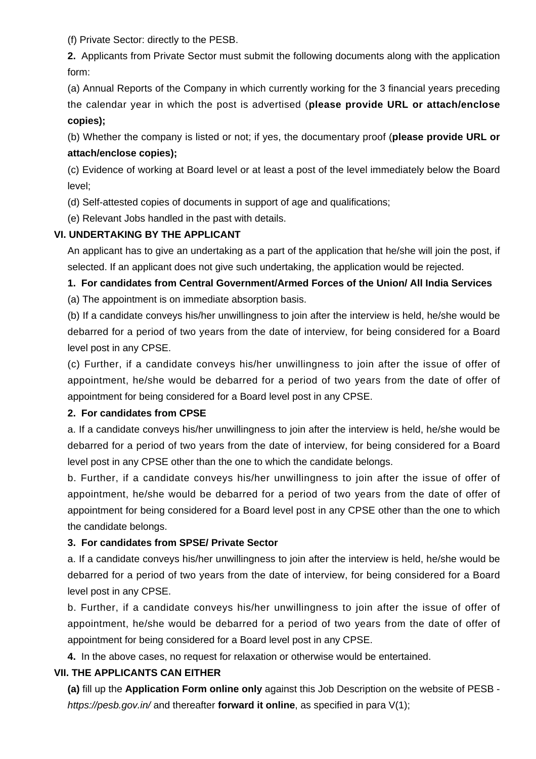(f) Private Sector: directly to the PESB.

**2.** Applicants from Private Sector must submit the following documents along with the application form:

(a) Annual Reports of the Company in which currently working for the 3 financial years preceding the calendar year in which the post is advertised (**please provide URL or attach/enclose copies);**

(b) Whether the company is listed or not; if yes, the documentary proof (**please provide URL or attach/enclose copies);**

(c) Evidence of working at Board level or at least a post of the level immediately below the Board level;

(d) Self-attested copies of documents in support of age and qualifications;

(e) Relevant Jobs handled in the past with details.

## **VI. UNDERTAKING BY THE APPLICANT**

An applicant has to give an undertaking as a part of the application that he/she will join the post, if selected. If an applicant does not give such undertaking, the application would be rejected.

## **1. For candidates from Central Government/Armed Forces of the Union/ All India Services**

(a) The appointment is on immediate absorption basis.

(b) If a candidate conveys his/her unwillingness to join after the interview is held, he/she would be debarred for a period of two years from the date of interview, for being considered for a Board level post in any CPSE.

(c) Further, if a candidate conveys his/her unwillingness to join after the issue of offer of appointment, he/she would be debarred for a period of two years from the date of offer of appointment for being considered for a Board level post in any CPSE.

## **2. For candidates from CPSE**

a. If a candidate conveys his/her unwillingness to join after the interview is held, he/she would be debarred for a period of two years from the date of interview, for being considered for a Board level post in any CPSE other than the one to which the candidate belongs.

b. Further, if a candidate conveys his/her unwillingness to join after the issue of offer of appointment, he/she would be debarred for a period of two years from the date of offer of appointment for being considered for a Board level post in any CPSE other than the one to which the candidate belongs.

## **3. For candidates from SPSE/ Private Sector**

a. If a candidate conveys his/her unwillingness to join after the interview is held, he/she would be debarred for a period of two years from the date of interview, for being considered for a Board level post in any CPSE.

b. Further, if a candidate conveys his/her unwillingness to join after the issue of offer of appointment, he/she would be debarred for a period of two years from the date of offer of appointment for being considered for a Board level post in any CPSE.

**4.** In the above cases, no request for relaxation or otherwise would be entertained.

# **VII. THE APPLICANTS CAN EITHER**

**(a)** fill up the **Application Form online only** against this Job Description on the website of PESB https://pesb.gov.in/ and thereafter **forward it online**, as specified in para V(1);